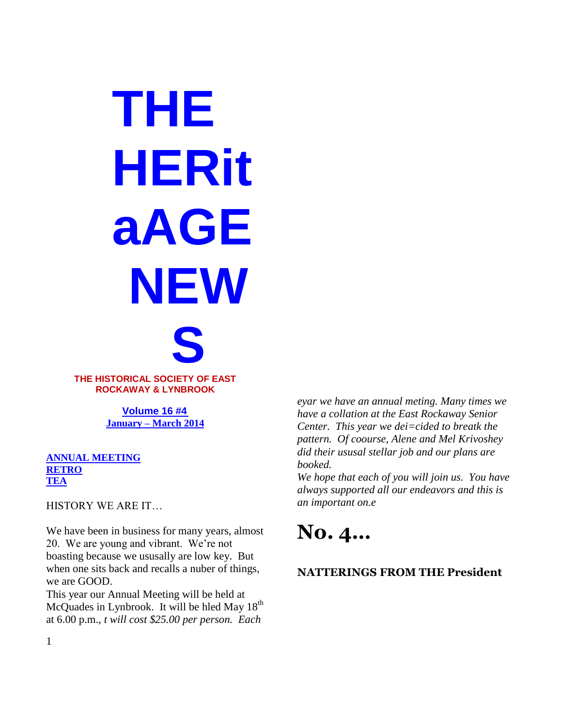**THE HERit aAGE NEW S**

**THE HISTORICAL SOCIETY OF EAST ROCKAWAY & LYNBROOK**

> **Volume 16 #4 January – March 2014**

**ANNUAL MEETING RETRO TEA**

HISTORY WE ARE IT…

We have been in business for many years, almost 20. We are young and vibrant. We're not boasting because we ususally are low key. But when one sits back and recalls a nuber of things, we are GOOD.

This year our Annual Meeting will be held at McQuades in Lynbrook. It will be hled May  $18<sup>th</sup>$ at 6.00 p.m., *t will cost \$25.00 per person. Each* 

*eyar we have an annual meting. Many times we have a collation at the East Rockaway Senior Center. This year we dei=cided to breatk the pattern. Of coourse, Alene and Mel Krivoshey did their ususal stellar job and our plans are booked.* 

*We hope that each of you will join us. You have always supported all our endeavors and this is an important on.e* 

# **No. 4…**

### **NATTERINGS FROM THE President**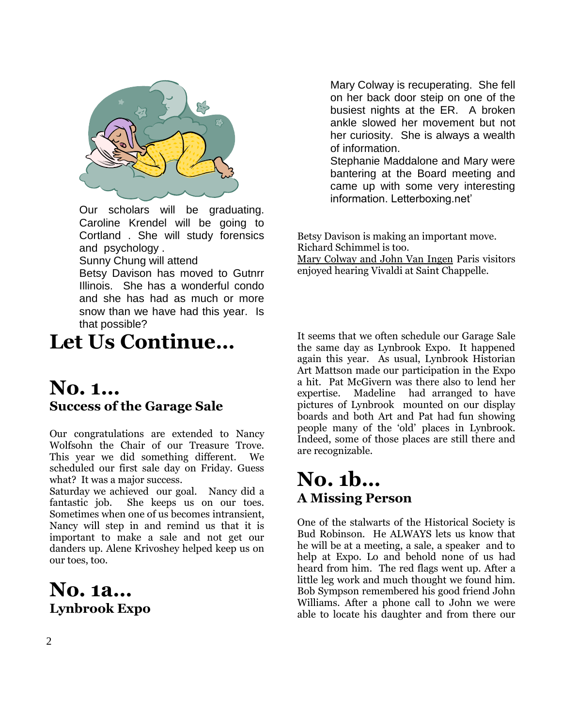

Our scholars will be graduating. Caroline Krendel will be going to Cortland . She will study forensics and psychology .

Sunny Chung will attend

Betsy Davison has moved to Gutnrr Illinois. She has a wonderful condo and she has had as much or more snow than we have had this year. Is that possible?

## **Let Us Continue…**

### **No. 1… Success of the Garage Sale**

Our congratulations are extended to Nancy Wolfsohn the Chair of our Treasure Trove. This year we did something different. We scheduled our first sale day on Friday. Guess what? It was a major success.

Saturday we achieved our goal. Nancy did a fantastic job. She keeps us on our toes. Sometimes when one of us becomes intransient, Nancy will step in and remind us that it is important to make a sale and not get our danders up. Alene Krivoshey helped keep us on our toes, too.

## **No. 1a… Lynbrook Expo**

Mary Colway is recuperating. She fell on her back door steip on one of the busiest nights at the ER. A broken ankle slowed her movement but not her curiosity. She is always a wealth of information.

Stephanie Maddalone and Mary were bantering at the Board meeting and came up with some very interesting information. Letterboxing.net'

Betsy Davison is making an important move. Richard Schimmel is too.

Mary Colway and John Van Ingen Paris visitors enjoyed hearing Vivaldi at Saint Chappelle.

It seems that we often schedule our Garage Sale the same day as Lynbrook Expo. It happened again this year. As usual, Lynbrook Historian Art Mattson made our participation in the Expo a hit. Pat McGivern was there also to lend her expertise. Madeline had arranged to have pictures of Lynbrook mounted on our display boards and both Art and Pat had fun showing people many of the 'old' places in Lynbrook. Indeed, some of those places are still there and are recognizable.

## **No. 1b… A Missing Person**

One of the stalwarts of the Historical Society is Bud Robinson. He ALWAYS lets us know that he will be at a meeting, a sale, a speaker and to help at Expo. Lo and behold none of us had heard from him. The red flags went up. After a little leg work and much thought we found him. Bob Sympson remembered his good friend John Williams. After a phone call to John we were able to locate his daughter and from there our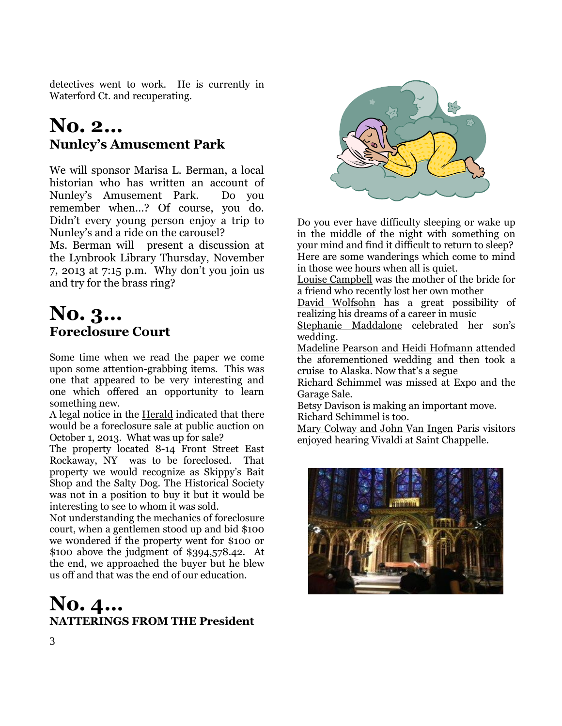detectives went to work. He is currently in Waterford Ct. and recuperating.

## **No. 2… Nunley's Amusement Park**

We will sponsor Marisa L. Berman, a local historian who has written an account of Nunley's Amusement Park. Do you remember when…? Of course, you do. Didn't every young person enjoy a trip to Nunley's and a ride on the carousel?

Ms. Berman will present a discussion at the Lynbrook Library Thursday, November 7, 2013 at 7:15 p.m. Why don't you join us and try for the brass ring?

## **No. 3… Foreclosure Court**

Some time when we read the paper we come upon some attention-grabbing items. This was one that appeared to be very interesting and one which offered an opportunity to learn something new.

A legal notice in the Herald indicated that there would be a foreclosure sale at public auction on October 1, 2013. What was up for sale?

The property located 8-14 Front Street East Rockaway, NY was to be foreclosed. That property we would recognize as Skippy's Bait Shop and the Salty Dog. The Historical Society was not in a position to buy it but it would be interesting to see to whom it was sold.

Not understanding the mechanics of foreclosure court, when a gentlemen stood up and bid \$100 we w0ndered if the property went for \$100 or \$100 above the judgment of \$394,578.42. At the end, we approached the buyer but he blew us off and that was the end of our education.

### **No. 4… NATTERINGS FROM THE President**



Do you ever have difficulty sleeping or wake up in the middle of the night with something on your mind and find it difficult to return to sleep? Here are some wanderings which come to mind in those wee hours when all is quiet.

Louise Campbell was the mother of the bride for a friend who recently lost her own mother

David Wolfsohn has a great possibility of realizing his dreams of a career in music

Stephanie Maddalone celebrated her son's wedding.

Madeline Pearson and Heidi Hofmann attended the aforementioned wedding and then took a cruise to Alaska. Now that's a segue

Richard Schimmel was missed at Expo and the Garage Sale.

Betsy Davison is making an important move. Richard Schimmel is too.

Mary Colway and John Van Ingen Paris visitors enjoyed hearing Vivaldi at Saint Chappelle.

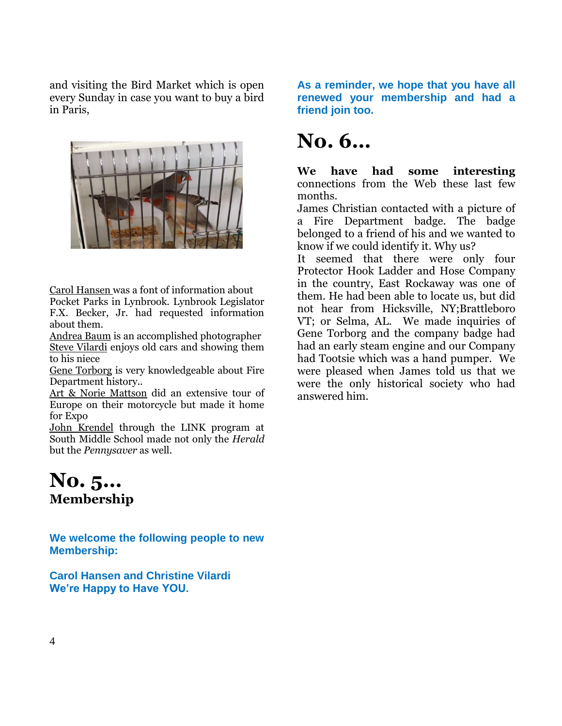and visiting the Bird Market which is open every Sunday in case you want to buy a bird in Paris,



Carol Hansen was a font of information about Pocket Parks in Lynbrook. Lynbrook Legislator F.X. Becker, Jr. had requested information about them.

Andrea Baum is an accomplished photographer Steve Vilardi enjoys old cars and showing them to his niece

Gene Torborg is very knowledgeable about Fire Department history..

Art & Norie Mattson did an extensive tour of Europe on their motorcycle but made it home for Expo

John Krendel through the LINK program at South Middle School made not only the *Herald* but the *Pennysaver* as well.

### **No. 5… Membership**

**We welcome the following people to new Membership:**

**Carol Hansen and Christine Vilardi We're Happy to Have YOU.**

**As a reminder, we hope that you have all renewed your membership and had a friend join too.**

# **No. 6…**

**We have had some interesting**  connections from the Web these last few months.

James Christian contacted with a picture of a Fire Department badge. The badge belonged to a friend of his and we wanted to know if we could identify it. Why us?

It seemed that there were only four Protector Hook Ladder and Hose Company in the country, East Rockaway was one of them. He had been able to locate us, but did not hear from Hicksville, NY;Brattleboro VT; or Selma, AL. We made inquiries of Gene Torborg and the company badge had had an early steam engine and our Company had Tootsie which was a hand pumper. We were pleased when James told us that we were the only historical society who had answered him.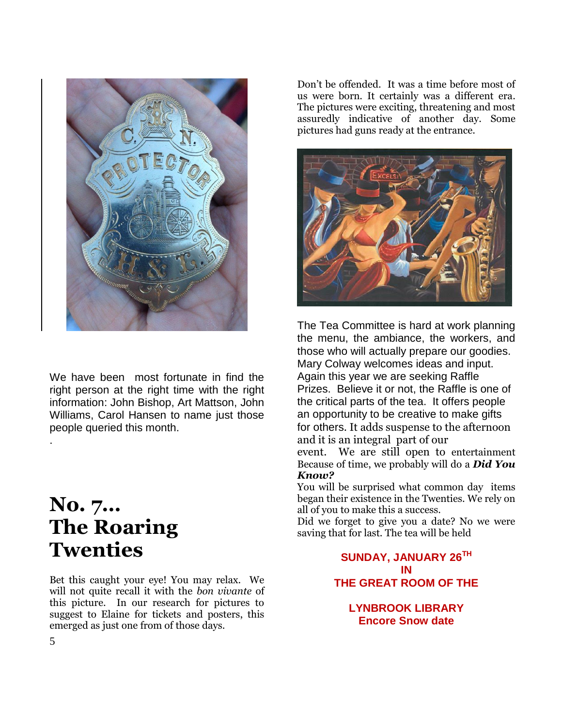

We have been most fortunate in find the right person at the right time with the right information: John Bishop, Art Mattson, John Williams, Carol Hansen to name just those people queried this month.

## **No. 7… The Roaring Twenties**

Bet this caught your eye! You may relax. We will not quite recall it with the *bon vivante* of this picture. In our research for pictures to suggest to Elaine for tickets and posters, this emerged as just one from of those days.

Don't be offended. It was a time before most of us were born. It certainly was a different era. The pictures were exciting, threatening and most assuredly indicative of another day. Some pictures had guns ready at the entrance.



The Tea Committee is hard at work planning the menu, the ambiance, the workers, and those who will actually prepare our goodies. Mary Colway welcomes ideas and input. Again this year we are seeking Raffle Prizes. Believe it or not, the Raffle is one of the critical parts of the tea. It offers people an opportunity to be creative to make gifts for others. It adds suspense to the afternoon and it is an integral part of our event. We are still open to entertainment Because of time, we probably will do a *Did You Know?*

You will be surprised what common day items began their existence in the Twenties. We rely on all of you to make this a success.

Did we forget to give you a date? No we were saving that for last. The tea will be held

> **SUNDAY, JANUARY 26TH IN THE GREAT ROOM OF THE**

**LYNBROOK LIBRARY Encore Snow date**

.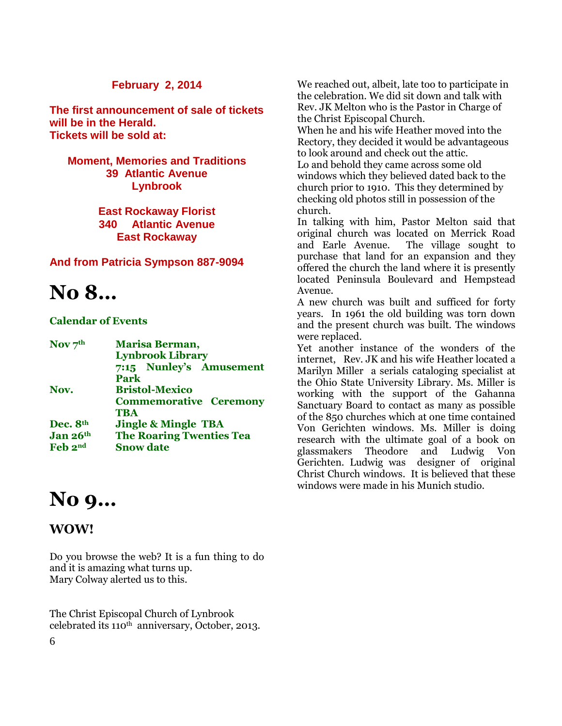#### **February 2, 2014**

**The first announcement of sale of tickets will be in the Herald. Tickets will be sold at:**

### **Moment, Memories and Traditions 39 Atlantic Avenue Lynbrook**

**East Rockaway Florist 340 Atlantic Avenue East Rockaway**

#### **And from Patricia Sympson 887-9094**

## **No 8…**

#### **Calendar of Events**

| Nov $7th$ | Marisa Berman,                  |
|-----------|---------------------------------|
|           | <b>Lynbrook Library</b>         |
|           | 7:15 Nunley's Amusement         |
|           | Park                            |
| Nov.      | <b>Bristol-Mexico</b>           |
|           | <b>Commemorative Ceremony</b>   |
|           | <b>TBA</b>                      |
| Dec. 8th  | <b>Jingle &amp; Mingle TBA</b>  |
| Jan 26th  | <b>The Roaring Twenties Tea</b> |
| Feb 2nd   | <b>Snow date</b>                |
|           |                                 |

## **No 9…**

### **WOW!**

Do you browse the web? It is a fun thing to do and it is amazing what turns up. Mary Colway alerted us to this.

The Christ Episcopal Church of Lynbrook celebrated its  $110^{th}$  anniversary, October, 2013. We reached out, albeit, late too to participate in the celebration. We did sit down and talk with Rev. JK Melton who is the Pastor in Charge of the Christ Episcopal Church.

When he and his wife Heather moved into the Rectory, they decided it would be advantageous to look around and check out the attic. Lo and behold they came across some old windows which they believed dated back to the church prior to 1910. This they determined by checking old photos still in possession of the church.

In talking with him, Pastor Melton said that original church was located on Merrick Road and Earle Avenue. The village sought to purchase that land for an expansion and they offered the church the land where it is presently located Peninsula Boulevard and Hempstead Avenue.

A new church was built and sufficed for forty years. In 1961 the old building was torn down and the present church was built. The windows were replaced.

Yet another instance of the wonders of the internet, Rev. JK and his wife Heather located a Marilyn Miller a serials cataloging specialist at the Ohio State University Library. Ms. Miller is working with the support of the Gahanna Sanctuary Board to contact as many as possible of the 850 churches which at one time contained Von Gerichten windows. Ms. Miller is doing research with the ultimate goal of a book on glassmakers Theodore and Ludwig Von Gerichten. Ludwig was designer of original Christ Church windows. It is believed that these windows were made in his Munich studio.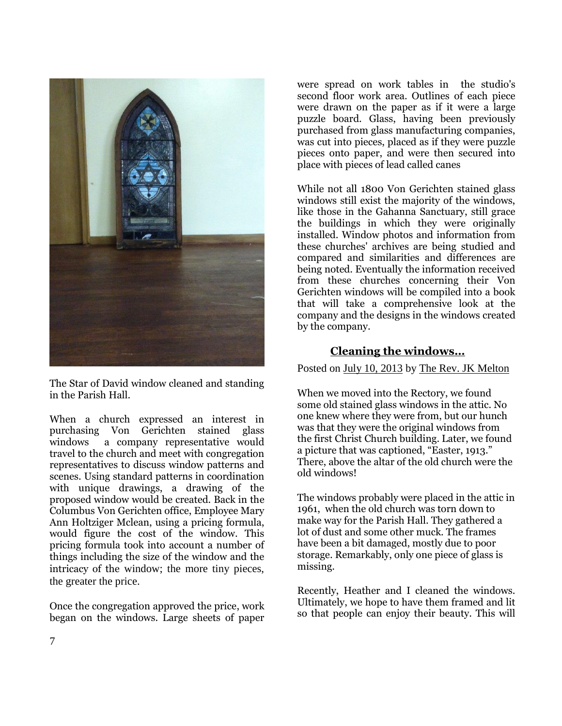

The Star of David window cleaned and standing in the Parish Hall.

When a church expressed an interest in purchasing Von Gerichten stained glass windows a company representative would travel to the church and meet with congregation representatives to discuss window patterns and scenes. Using standard patterns in coordination with unique drawings, a drawing of the proposed window would be created. Back in the Columbus Von Gerichten office, Employee Mary Ann Holtziger Mclean, using a pricing formula, would figure the cost of the window. This pricing formula took into account a number of things including the size of the window and the intricacy of the window; the more tiny pieces, the greater the price.

Once the congregation approved the price, work began on the windows. Large sheets of paper

were spread on work tables in the studio's second floor work area. Outlines of each piece were drawn on the paper as if it were a large puzzle board. Glass, having been previously purchased from glass manufacturing companies, was cut into pieces, placed as if they were puzzle pieces onto paper, and were then secured into place with pieces of lead called canes

While not all 1800 Von Gerichten stained glass windows still exist the majority of the windows, like those in the Gahanna Sanctuary, still grace the buildings in which they were originally installed. Window photos and information from these churches' archives are being studied and compared and similarities and differences are being noted. Eventually the information received from these churches concerning their Von Gerichten windows will be compiled into a book that will take a comprehensive look at the company and the designs in the windows created by the company.

### **[Cleaning the windows…](http://www.christchurchlynbrook.org/cleaning-the-windows/)**

Posted on [July 10, 2013](http://www.christchurchlynbrook.org/cleaning-the-windows/) by [The Rev. JK Melton](http://www.christchurchlynbrook.org/author/meltonjk/)

When we moved into the Rectory, we found some old stained glass windows in the attic. No one knew where they were from, but our hunch was that they were the original windows from the first Christ Church building. Later, we found a picture that was captioned, "Easter, 1913." There, above the altar of the old church were the old windows!

The windows probably were placed in the attic in 1961, when the old church was torn down to make way for the Parish Hall. They gathered a lot of dust and some other muck. The frames have been a bit damaged, mostly due to poor storage. Remarkably, only one piece of glass is missing.

Recently, Heather and I cleaned the windows. Ultimately, we hope to have them framed and lit so that people can enjoy their beauty. This will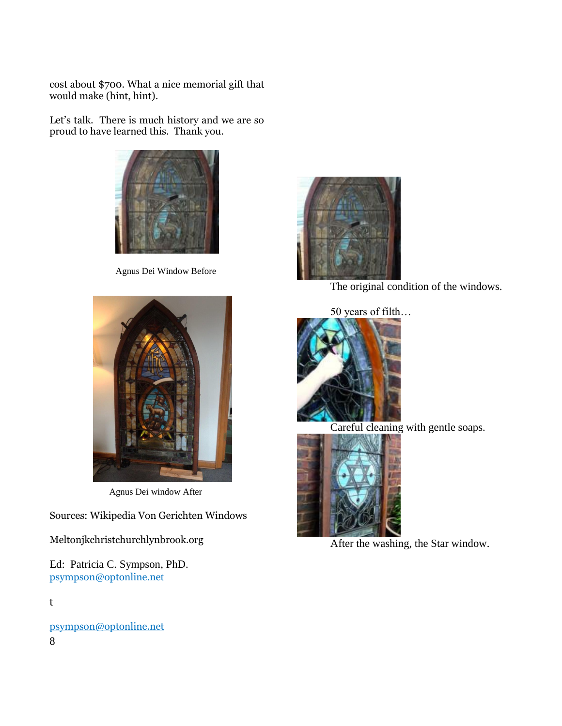cost about \$700. What a nice memorial gift that would make (hint, hint).

Let's talk. There is much history and we are so proud to have learned this. Thank you.



Agnus Dei Window Before





Careful cleaning with gentle soaps.



After the washing, the Star window.



Agnus Dei window After

Sources: Wikipedia Von Gerichten Windows

Meltonjkchristchurchlynbrook.org

Ed: Patricia C. Sympson, PhD. [psympson@optonline.ne](mailto:psympson@optonline.ne)t

t

8 [psympson@optonline.net](mailto:psympson@optonline.net)